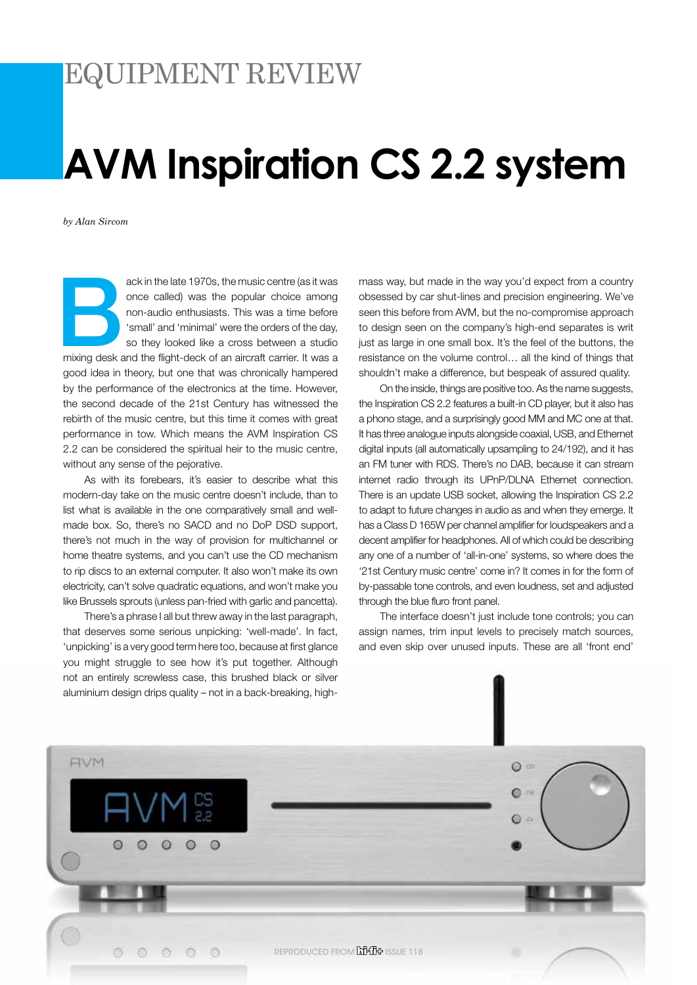# EQUIPMENT REVIEW

# **AVM Inspiration CS 2.2 system**

*by Alan Sircom*

ack in the late 1970s, the music centre (as it was<br>
once called) was the popular choice among<br>
non-audio enthusiasts. This was a time before<br>
'small' and 'minimal' were the orders of the day,<br>
so they looked like a cross b once called) was the popular choice among non-audio enthusiasts. This was a time before 'small' and 'minimal' were the orders of the day, so they looked like a cross between a studio good idea in theory, but one that was chronically hampered by the performance of the electronics at the time. However, the second decade of the 21st Century has witnessed the rebirth of the music centre, but this time it comes with great performance in tow. Which means the AVM Inspiration CS 2.2 can be considered the spiritual heir to the music centre, without any sense of the pejorative.

As with its forebears, it's easier to describe what this modern-day take on the music centre doesn't include, than to list what is available in the one comparatively small and wellmade box. So, there's no SACD and no DoP DSD support, there's not much in the way of provision for multichannel or home theatre systems, and you can't use the CD mechanism to rip discs to an external computer. It also won't make its own electricity, can't solve quadratic equations, and won't make you like Brussels sprouts (unless pan-fried with garlic and pancetta).

There's a phrase I all but threw away in the last paragraph, that deserves some serious unpicking: 'well-made'. In fact, 'unpicking' is a very good term here too, because at first glance you might struggle to see how it's put together. Although not an entirely screwless case, this brushed black or silver aluminium design drips quality – not in a back-breaking, highmass way, but made in the way you'd expect from a country obsessed by car shut-lines and precision engineering. We've seen this before from AVM, but the no-compromise approach to design seen on the company's high-end separates is writ just as large in one small box. It's the feel of the buttons, the resistance on the volume control… all the kind of things that shouldn't make a difference, but bespeak of assured quality.

On the inside, things are positive too. As the name suggests, the Inspiration CS 2.2 features a built-in CD player, but it also has a phono stage, and a surprisingly good MM and MC one at that. It has three analogue inputs alongside coaxial, USB, and Ethernet digital inputs (all automatically upsampling to 24/192), and it has an FM tuner with RDS. There's no DAB, because it can stream internet radio through its UPnP/DLNA Ethernet connection. There is an update USB socket, allowing the Inspiration CS 2.2 to adapt to future changes in audio as and when they emerge. It has a Class D 165W per channel amplifier for loudspeakers and a decent amplifier for headphones. All of which could be describing any one of a number of 'all-in-one' systems, so where does the '21st Century music centre' come in? It comes in for the form of by-passable tone controls, and even loudness, set and adjusted through the blue fluro front panel.

The interface doesn't just include tone controls; you can assign names, trim input levels to precisely match sources, and even skip over unused inputs. These are all 'front end'

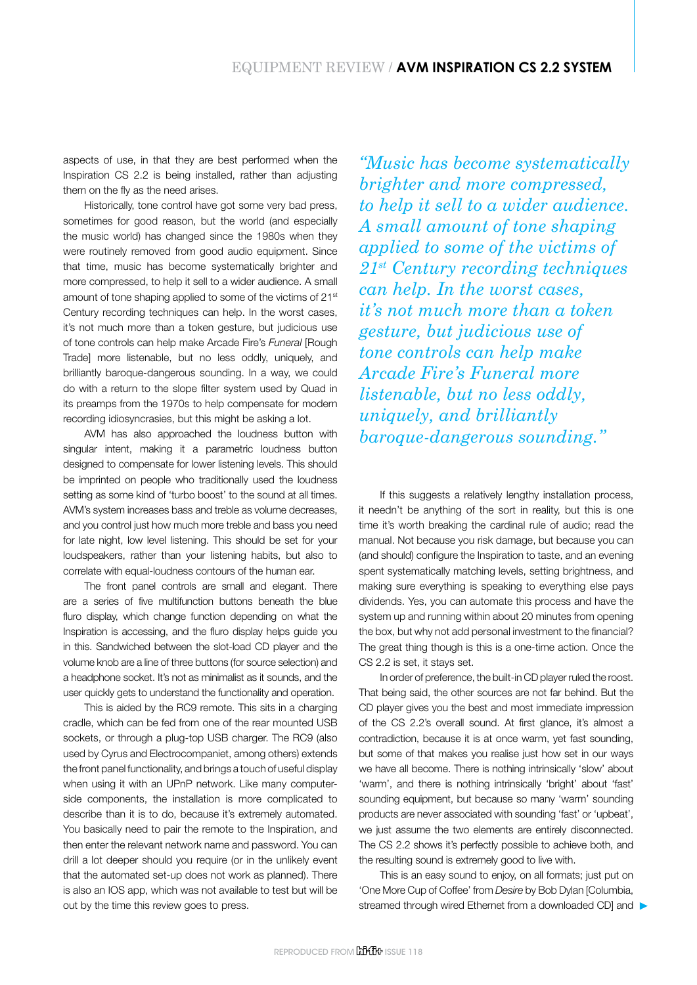aspects of use, in that they are best performed when the Inspiration CS 2.2 is being installed, rather than adjusting them on the fly as the need arises.

Historically, tone control have got some very bad press, sometimes for good reason, but the world (and especially the music world) has changed since the 1980s when they were routinely removed from good audio equipment. Since that time, music has become systematically brighter and more compressed, to help it sell to a wider audience. A small amount of tone shaping applied to some of the victims of 21<sup>st</sup> Century recording techniques can help. In the worst cases, it's not much more than a token gesture, but judicious use of tone controls can help make Arcade Fire's *Funeral* [Rough Trade] more listenable, but no less oddly, uniquely, and brilliantly baroque-dangerous sounding. In a way, we could do with a return to the slope filter system used by Quad in its preamps from the 1970s to help compensate for modern recording idiosyncrasies, but this might be asking a lot.

AVM has also approached the loudness button with singular intent, making it a parametric loudness button designed to compensate for lower listening levels. This should be imprinted on people who traditionally used the loudness setting as some kind of 'turbo boost' to the sound at all times. AVM's system increases bass and treble as volume decreases, and you control just how much more treble and bass you need for late night, low level listening. This should be set for your loudspeakers, rather than your listening habits, but also to correlate with equal-loudness contours of the human ear.

The front panel controls are small and elegant. There are a series of five multifunction buttons beneath the blue fluro display, which change function depending on what the Inspiration is accessing, and the fluro display helps guide you in this. Sandwiched between the slot-load CD player and the volume knob are a line of three buttons (for source selection) and a headphone socket. It's not as minimalist as it sounds, and the user quickly gets to understand the functionality and operation.

This is aided by the RC9 remote. This sits in a charging cradle, which can be fed from one of the rear mounted USB sockets, or through a plug-top USB charger. The RC9 (also used by Cyrus and Electrocompaniet, among others) extends the front panel functionality, and brings a touch of useful display when using it with an UPnP network. Like many computerside components, the installation is more complicated to describe than it is to do, because it's extremely automated. You basically need to pair the remote to the Inspiration, and then enter the relevant network name and password. You can drill a lot deeper should you require (or in the unlikely event that the automated set-up does not work as planned). There is also an IOS app, which was not available to test but will be out by the time this review goes to press.

*"Music has become systematically brighter and more compressed, to help it sell to a wider audience. A small amount of tone shaping applied to some of the victims of 21st Century recording techniques can help. In the worst cases, it's not much more than a token gesture, but judicious use of tone controls can help make Arcade Fire's Funeral more listenable, but no less oddly, uniquely, and brilliantly baroque-dangerous sounding."*

If this suggests a relatively lengthy installation process, it needn't be anything of the sort in reality, but this is one time it's worth breaking the cardinal rule of audio; read the manual. Not because you risk damage, but because you can (and should) configure the Inspiration to taste, and an evening spent systematically matching levels, setting brightness, and making sure everything is speaking to everything else pays dividends. Yes, you can automate this process and have the system up and running within about 20 minutes from opening the box, but why not add personal investment to the financial? The great thing though is this is a one-time action. Once the CS 2.2 is set, it stays set.

In order of preference, the built-in CD player ruled the roost. That being said, the other sources are not far behind. But the CD player gives you the best and most immediate impression of the CS 2.2's overall sound. At first glance, it's almost a contradiction, because it is at once warm, yet fast sounding, but some of that makes you realise just how set in our ways we have all become. There is nothing intrinsically 'slow' about 'warm', and there is nothing intrinsically 'bright' about 'fast' sounding equipment, but because so many 'warm' sounding products are never associated with sounding 'fast' or 'upbeat', we just assume the two elements are entirely disconnected. The CS 2.2 shows it's perfectly possible to achieve both, and the resulting sound is extremely good to live with.

This is an easy sound to enjoy, on all formats; just put on 'One More Cup of Coffee' from *Desire* by Bob Dylan [Columbia, streamed through wired Ethernet from a downloaded CD] and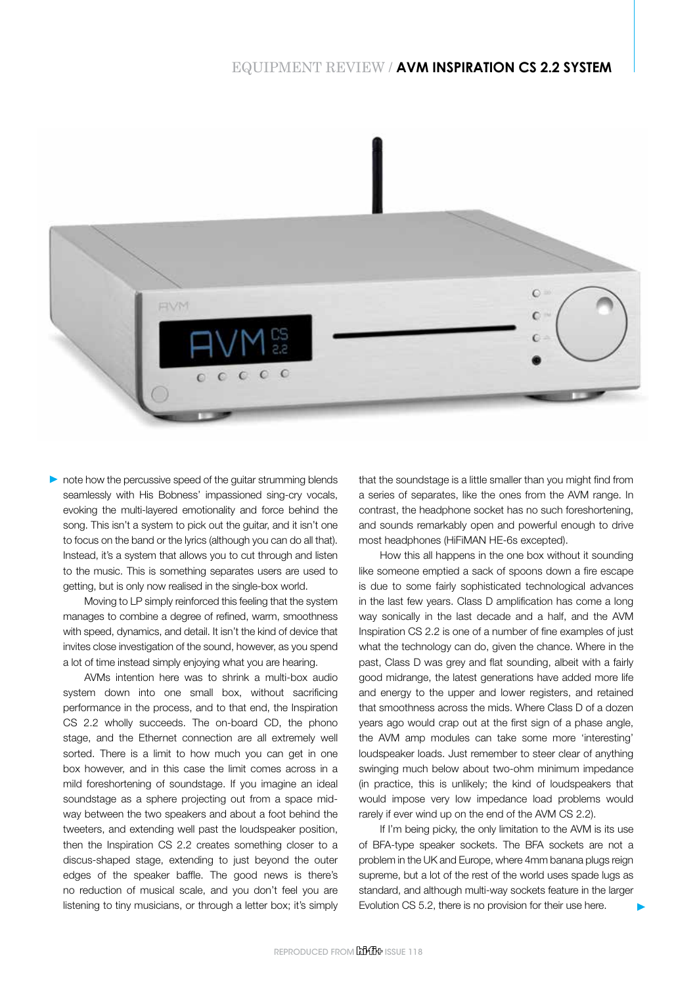## EQUIPMENT REVIEW / **AVM INSPIRATION CS 2.2 SYSTEM**



note how the percussive speed of the quitar strumming blends seamlessly with His Bobness' impassioned sing-cry vocals, evoking the multi-layered emotionality and force behind the song. This isn't a system to pick out the guitar, and it isn't one to focus on the band or the lyrics (although you can do all that). Instead, it's a system that allows you to cut through and listen to the music. This is something separates users are used to getting, but is only now realised in the single-box world.

Moving to LP simply reinforced this feeling that the system manages to combine a degree of refined, warm, smoothness with speed, dynamics, and detail. It isn't the kind of device that invites close investigation of the sound, however, as you spend a lot of time instead simply enjoying what you are hearing.

AVMs intention here was to shrink a multi-box audio system down into one small box, without sacrificing performance in the process, and to that end, the Inspiration CS 2.2 wholly succeeds. The on-board CD, the phono stage, and the Ethernet connection are all extremely well sorted. There is a limit to how much you can get in one box however, and in this case the limit comes across in a mild foreshortening of soundstage. If you imagine an ideal soundstage as a sphere projecting out from a space midway between the two speakers and about a foot behind the tweeters, and extending well past the loudspeaker position, then the Inspiration CS 2.2 creates something closer to a discus-shaped stage, extending to just beyond the outer edges of the speaker baffle. The good news is there's no reduction of musical scale, and you don't feel you are listening to tiny musicians, or through a letter box; it's simply

that the soundstage is a little smaller than you might find from a series of separates, like the ones from the AVM range. In contrast, the headphone socket has no such foreshortening, and sounds remarkably open and powerful enough to drive most headphones (HiFiMAN HE-6s excepted).

How this all happens in the one box without it sounding like someone emptied a sack of spoons down a fire escape is due to some fairly sophisticated technological advances in the last few years. Class D amplification has come a long way sonically in the last decade and a half, and the AVM Inspiration CS 2.2 is one of a number of fine examples of just what the technology can do, given the chance. Where in the past, Class D was grey and flat sounding, albeit with a fairly good midrange, the latest generations have added more life and energy to the upper and lower registers, and retained that smoothness across the mids. Where Class D of a dozen years ago would crap out at the first sign of a phase angle, the AVM amp modules can take some more 'interesting' loudspeaker loads. Just remember to steer clear of anything swinging much below about two-ohm minimum impedance (in practice, this is unlikely; the kind of loudspeakers that would impose very low impedance load problems would rarely if ever wind up on the end of the AVM CS 2.2).

If I'm being picky, the only limitation to the AVM is its use of BFA-type speaker sockets. The BFA sockets are not a problem in the UK and Europe, where 4mm banana plugs reign supreme, but a lot of the rest of the world uses spade lugs as standard, and although multi-way sockets feature in the larger Evolution CS 5.2, there is no provision for their use here.